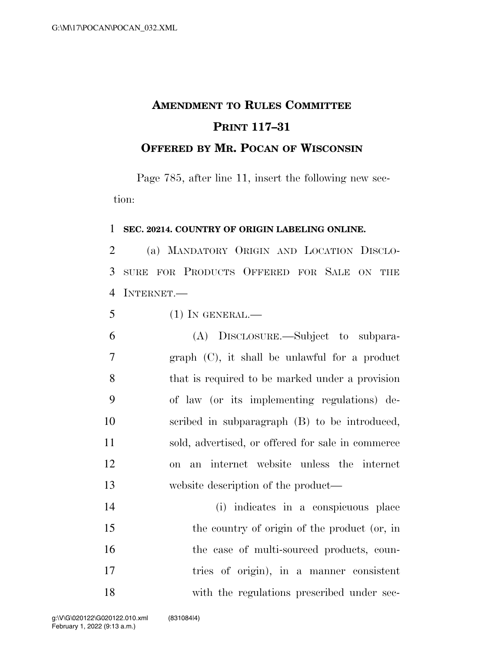## **AMENDMENT TO RULES COMMITTEE PRINT 117–31 OFFERED BY MR. POCAN OF WISCONSIN**

Page 785, after line 11, insert the following new section:

## **SEC. 20214. COUNTRY OF ORIGIN LABELING ONLINE.**

 (a) MANDATORY ORIGIN AND LOCATION DISCLO- SURE FOR PRODUCTS OFFERED FOR SALE ON THE 4 INTERNET —

(1) IN GENERAL.—

 (A) DISCLOSURE.—Subject to subpara- graph (C), it shall be unlawful for a product that is required to be marked under a provision of law (or its implementing regulations) de- scribed in subparagraph (B) to be introduced, sold, advertised, or offered for sale in commerce on an internet website unless the internet website description of the product—

 (i) indicates in a conspicuous place the country of origin of the product (or, in 16 the case of multi-sourced products, coun- tries of origin), in a manner consistent with the regulations prescribed under sec-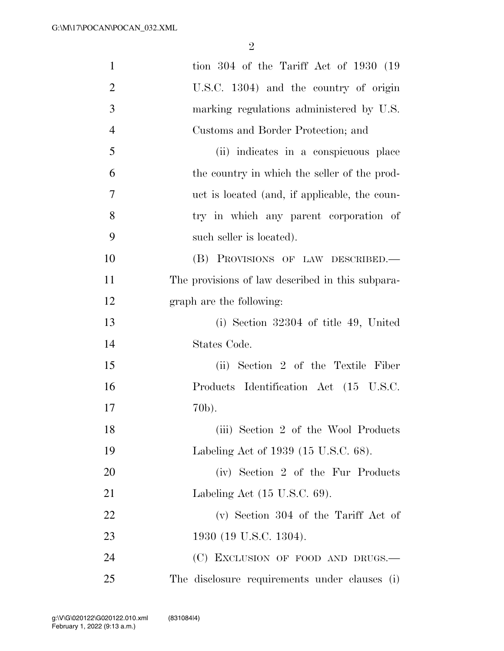| $\mathbf{1}$   | tion $304$ of the Tariff Act of $1930$ (19       |
|----------------|--------------------------------------------------|
| $\overline{2}$ | U.S.C. 1304) and the country of origin           |
| 3              | marking regulations administered by U.S.         |
| $\overline{4}$ | Customs and Border Protection; and               |
| 5              | (ii) indicates in a conspicuous place            |
| 6              | the country in which the seller of the prod-     |
| 7              | uct is located (and, if applicable, the coun-    |
| 8              | try in which any parent corporation of           |
| 9              | such seller is located).                         |
| 10             | (B) PROVISIONS OF LAW DESCRIBED.                 |
| 11             | The provisions of law described in this subpara- |
| 12             | graph are the following:                         |
| 13             | (i) Section $32304$ of title 49, United          |
| 14             | States Code.                                     |
| 15             | (ii) Section 2 of the Textile Fiber              |
| 16             | Products Identification Act (15 U.S.C.           |
| 17             | 70b).                                            |
| 18             | (iii) Section 2 of the Wool Products             |
| 19             | Labeling Act of 1939 (15 U.S.C. 68).             |
| 20             | (iv) Section 2 of the Fur Products               |
| 21             | Labeling Act $(15 \text{ U.S.C. } 69)$ .         |
| 22             | $(v)$ Section 304 of the Tariff Act of           |
| 23             | 1930 (19 U.S.C. 1304).                           |
| 24             | (C) EXCLUSION OF FOOD AND DRUGS.-                |
| 25             | The disclosure requirements under clauses (i)    |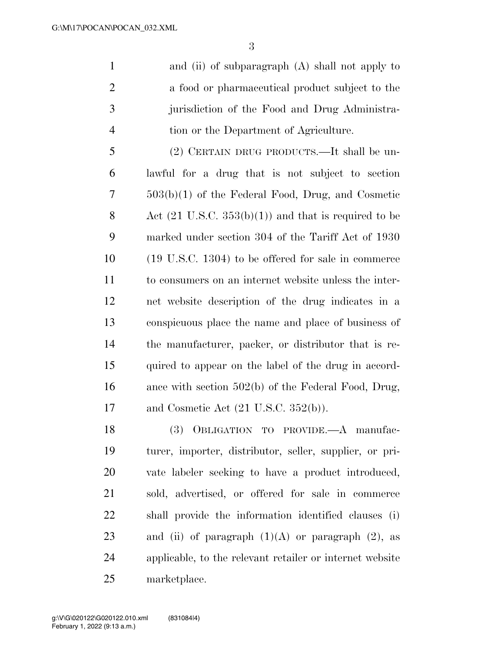and (ii) of subparagraph (A) shall not apply to 2 a food or pharmaceutical product subject to the jurisdiction of the Food and Drug Administra-tion or the Department of Agriculture.

 (2) CERTAIN DRUG PRODUCTS.—It shall be un- lawful for a drug that is not subject to section 503(b)(1) of the Federal Food, Drug, and Cosmetic 8 Act  $(21 \text{ U.S.C. } 353(b)(1))$  and that is required to be marked under section 304 of the Tariff Act of 1930 (19 U.S.C. 1304) to be offered for sale in commerce to consumers on an internet website unless the inter- net website description of the drug indicates in a conspicuous place the name and place of business of the manufacturer, packer, or distributor that is re- quired to appear on the label of the drug in accord- ance with section 502(b) of the Federal Food, Drug, and Cosmetic Act (21 U.S.C. 352(b)).

 (3) OBLIGATION TO PROVIDE.—A manufac- turer, importer, distributor, seller, supplier, or pri- vate labeler seeking to have a product introduced, sold, advertised, or offered for sale in commerce shall provide the information identified clauses (i) 23 and (ii) of paragraph  $(1)(A)$  or paragraph  $(2)$ , as applicable, to the relevant retailer or internet website marketplace.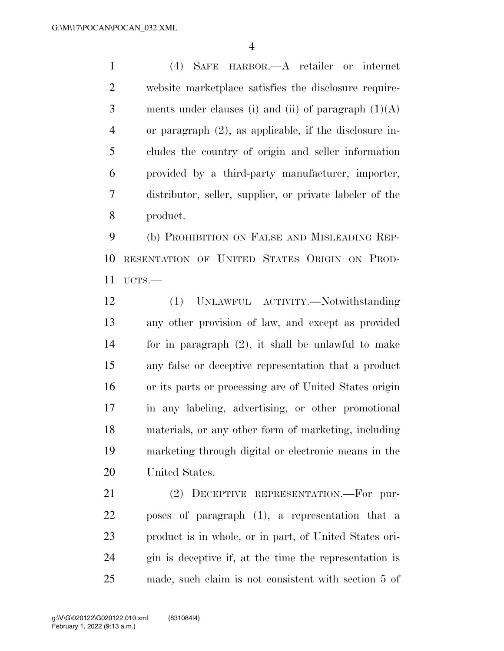(4) SAFE HARBOR.—A retailer or internet website marketplace satisfies the disclosure require-3 ments under clauses (i) and (ii) of paragraph  $(1)(A)$  or paragraph (2), as applicable, if the disclosure in- cludes the country of origin and seller information provided by a third-party manufacturer, importer, distributor, seller, supplier, or private labeler of the product.

 (b) PROHIBITION ON FALSE AND MISLEADING REP- RESENTATION OF UNITED STATES ORIGIN ON PROD-UCTS.—

 (1) UNLAWFUL ACTIVITY.—Notwithstanding any other provision of law, and except as provided for in paragraph (2), it shall be unlawful to make any false or deceptive representation that a product or its parts or processing are of United States origin in any labeling, advertising, or other promotional materials, or any other form of marketing, including marketing through digital or electronic means in the United States.

 (2) DECEPTIVE REPRESENTATION.—For pur- poses of paragraph (1), a representation that a product is in whole, or in part, of United States ori- gin is deceptive if, at the time the representation is made, such claim is not consistent with section 5 of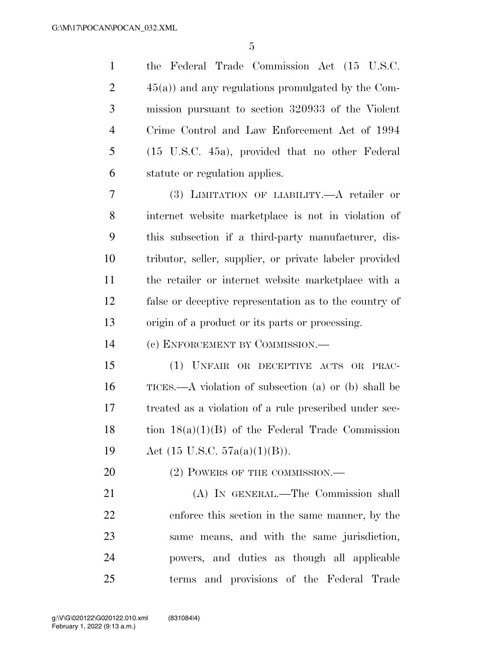the Federal Trade Commission Act (15 U.S.C.  $2 \t 45(a)$  and any regulations promulgated by the Com- mission pursuant to section 320933 of the Violent Crime Control and Law Enforcement Act of 1994 (15 U.S.C. 45a), provided that no other Federal statute or regulation applies.

 (3) LIMITATION OF LIABILITY.—A retailer or internet website marketplace is not in violation of this subsection if a third-party manufacturer, dis- tributor, seller, supplier, or private labeler provided the retailer or internet website marketplace with a false or deceptive representation as to the country of origin of a product or its parts or processing.

(c) ENFORCEMENT BY COMMISSION.—

 (1) UNFAIR OR DECEPTIVE ACTS OR PRAC- TICES.—A violation of subsection (a) or (b) shall be treated as a violation of a rule prescribed under sec-18 tion  $18(a)(1)(B)$  of the Federal Trade Commission Act (15 U.S.C. 57a(a)(1)(B)).

20 (2) POWERS OF THE COMMISSION.—

 (A) IN GENERAL.—The Commission shall enforce this section in the same manner, by the same means, and with the same jurisdiction, powers, and duties as though all applicable terms and provisions of the Federal Trade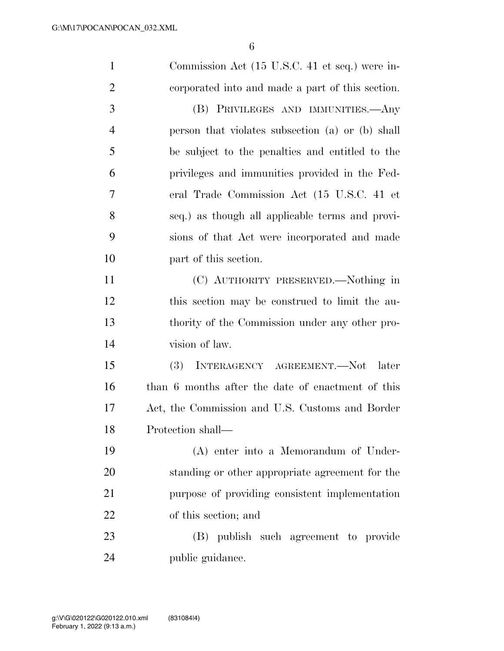| $\mathbf{1}$   | Commission Act (15 U.S.C. 41 et seq.) were in-    |
|----------------|---------------------------------------------------|
| $\overline{2}$ | corporated into and made a part of this section.  |
| 3              | (B) PRIVILEGES AND IMMUNITIES.—Any                |
| $\overline{4}$ | person that violates subsection (a) or (b) shall  |
| 5              | be subject to the penalties and entitled to the   |
| 6              | privileges and immunities provided in the Fed-    |
| 7              | eral Trade Commission Act (15 U.S.C. 41 et        |
| 8              | seq.) as though all applicable terms and provi-   |
| 9              | sions of that Act were incorporated and made      |
| 10             | part of this section.                             |
| 11             | (C) AUTHORITY PRESERVED.—Nothing in               |
| 12             | this section may be construed to limit the au-    |
| 13             | thority of the Commission under any other pro-    |
| 14             | vision of law.                                    |
| 15             | <b>(3)</b><br>INTERAGENCY AGREEMENT.-Not<br>later |
| 16             | than 6 months after the date of enactment of this |
| 17             | Act, the Commission and U.S. Customs and Border   |
| 18             | Protection shall-                                 |
| 19             | (A) enter into a Memorandum of Under-             |
| 20             | standing or other appropriate agreement for the   |
| 21             | purpose of providing consistent implementation    |
| 22             | of this section; and                              |
| 23             | (B) publish such agreement to provide             |
| 24             | public guidance.                                  |